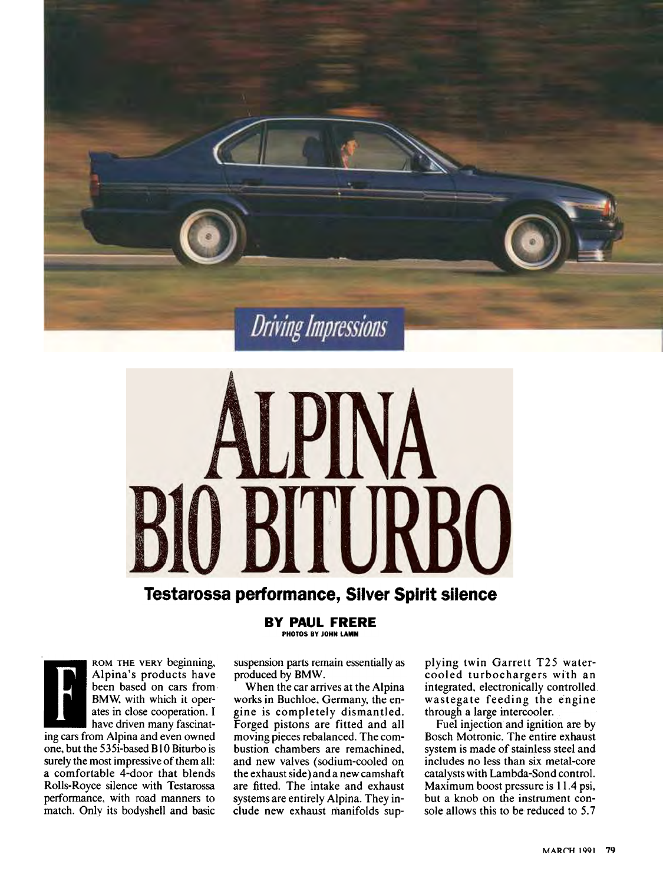



## Testarossa performance, Sllver Spirit sllence

BV PAUL FRERE PHOTOS BV JOHN LAMM



ROM THE VERY beginning,<br>Alpina's products have been based on cars from BMW; with which it operates in close cooperation. I have driven many fascinat-

ing cars from Alpina and even owned one, but the 535i-based BlO Biturbo is surely the most impressive of them all: a comfortable 4-door that blends Rolls-Royce silence with Testarossa performance, with road manners to match. Only its bodysheil and basic

suspension parts remain essentially as produced by BMW.

When the car arrives at the Alpina works in Buchloe, Germany, the engine is completely dismantled. Forged pistons are fitted and all moving pieces rebalanced. The combustion chambers are remachined, and new valves (sodium-cooled on the exhaust side) and a new camshaft are fitted. The intake and exhaust systems are entirely Alpina. They include new exhaust manifolds supplying twin Garrett T25 watercooled turbochargers with an integrated, electronically controlled. wastegate feeding the engine through a large intercooler.

Fuel injection and ignition are by Bosch Motronic. The entire exhaust system is made of stainless steel and includes no less than six metal-core catalysts with Lambda-Sond control. Maximum boost pressure is 11.4 psi, but a knob on the instrument console alIows this to be reduced to 5.7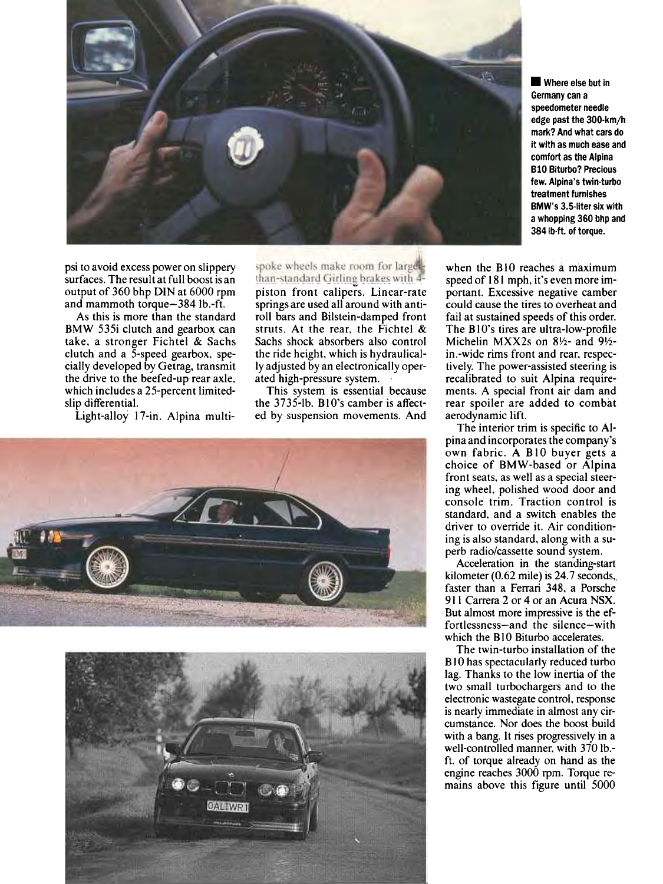

Where else but in Germany can a speedometer needie edge past the 300-km/h mark? And what cars do it wlth as much ease and comfort as the Alpina BlO Biturbo? Preclous few. Alpina's twin-turbo treatment furnlshes BMW's 3.5-liter six with a whopping 360 bhp and 384 lb-ft. of torque.

psi to avoid excess power on slippery surfaces. The result at full boost is an output of  $360$  bhp DIN at  $6000$  rpm and mammoth torque-3841b.-ft.

As this is more than the standard BMW 535i clutch and gearbox can take, a stronger Fichtel & Sachs clutch and a 5-speed gearbox, specially developed by Getrag, transmit the drive to the beefed-up rear axle, which includes a 25-percent limitedslip differential.

Light-alloy 17-in. Alpina multi-

spoke wheels make room for largelthan-standard Girling brakes with 4piston front calipers. Linear-rate springs are used all around with antiroll bars and Bilstein-damped front struts. At the rear, the Fichtel & Sachs shock absorbers also control the ride height, which is hydraulically adjusted by an electronically operated high-pressure system.

This system is essential because the 3735-lb. B10's camber is affected by suspension movements. And





when the BlO reaches a maximum speed of 181 mph, it's even more important. Excessive negative camber could cause the tires to overheat and fail at sustained speeds of this order. The B10's tires are ultra-low-profile Michelin MXX2s on  $8\frac{1}{2}$ - and  $9\frac{1}{2}$ in.-wide rims front and rear, respectively. The power-assisted steering is recalibrated to suit Alpina requirements. A special front air dam and rear spoiler are added to combat aerodynamic lift.

The interior trim is specific to AIpina and incorporates the company's own fabric. A BlO buyer gets a choice of BMW-based or Alpina front seats, as weil as a special steering wheel, polished wood door and console trim. Traction control is standard, and a switch enables the driver to override it. Air conditioning is also standard, along with a superb radio/cassette sound system.

Acceleration in the standing-start kilometer  $(0.62 \text{ mile})$  is 24.7 seconds, faster than a Ferrari 348, a Porsche 911 Carrera 2 or 4 or an Acura NSX. But almost more impressive is the effortlessness-and the silence-with which the B<sub>10</sub> Biturbo accelerates.

The twin-turbo installation of the BlO has spectacularly reduced turbo lag. Thanks to the low inertia of the two small turbochargers and to the electronic wastegate control, response is nearly immediate in almost any circumstance. Nor does the boost build with a bang. ft rises progressively in a weil-controlled manner, with 370 Ib. ft. of torque already on hand as the engine reaches 3000 rpm. Torque remains above this figure until 5000